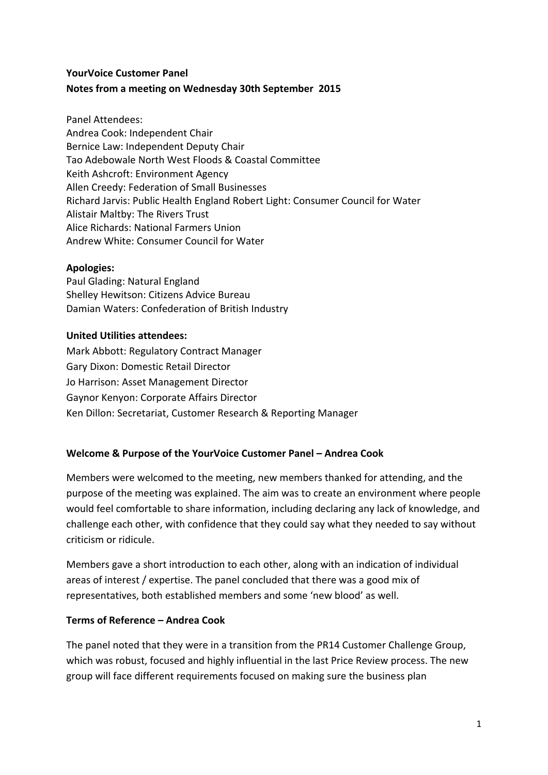# **YourVoice Customer Panel Notes from a meeting on Wednesday 30th September 2015**

Panel Attendees: Andrea Cook: Independent Chair Bernice Law: Independent Deputy Chair Tao Adebowale North West Floods & Coastal Committee Keith Ashcroft: Environment Agency Allen Creedy: Federation of Small Businesses Richard Jarvis: Public Health England Robert Light: Consumer Council for Water Alistair Maltby: The Rivers Trust Alice Richards: National Farmers Union Andrew White: Consumer Council for Water

### **Apologies:**

Paul Glading: Natural England Shelley Hewitson: Citizens Advice Bureau Damian Waters: Confederation of British Industry

# **United Utilities attendees:**

Mark Abbott: Regulatory Contract Manager Gary Dixon: Domestic Retail Director Jo Harrison: Asset Management Director Gaynor Kenyon: Corporate Affairs Director Ken Dillon: Secretariat, Customer Research & Reporting Manager

### **Welcome & Purpose of the YourVoice Customer Panel – Andrea Cook**

Members were welcomed to the meeting, new members thanked for attending, and the purpose of the meeting was explained. The aim was to create an environment where people would feel comfortable to share information, including declaring any lack of knowledge, and challenge each other, with confidence that they could say what they needed to say without criticism or ridicule.

Members gave a short introduction to each other, along with an indication of individual areas of interest / expertise. The panel concluded that there was a good mix of representatives, both established members and some 'new blood' as well.

### **Terms of Reference – Andrea Cook**

The panel noted that they were in a transition from the PR14 Customer Challenge Group, which was robust, focused and highly influential in the last Price Review process. The new group will face different requirements focused on making sure the business plan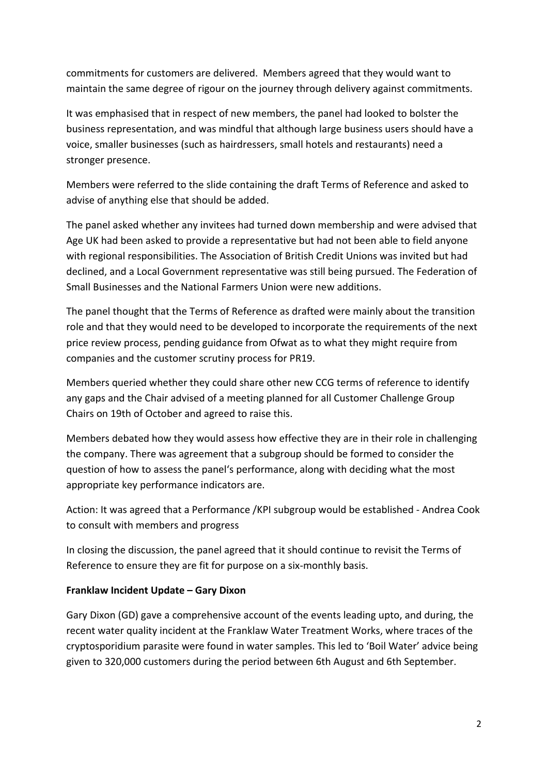commitments for customers are delivered. Members agreed that they would want to maintain the same degree of rigour on the journey through delivery against commitments.

It was emphasised that in respect of new members, the panel had looked to bolster the business representation, and was mindful that although large business users should have a voice, smaller businesses (such as hairdressers, small hotels and restaurants) need a stronger presence.

Members were referred to the slide containing the draft Terms of Reference and asked to advise of anything else that should be added.

The panel asked whether any invitees had turned down membership and were advised that Age UK had been asked to provide a representative but had not been able to field anyone with regional responsibilities. The Association of British Credit Unions was invited but had declined, and a Local Government representative was still being pursued. The Federation of Small Businesses and the National Farmers Union were new additions.

The panel thought that the Terms of Reference as drafted were mainly about the transition role and that they would need to be developed to incorporate the requirements of the next price review process, pending guidance from Ofwat as to what they might require from companies and the customer scrutiny process for PR19.

Members queried whether they could share other new CCG terms of reference to identify any gaps and the Chair advised of a meeting planned for all Customer Challenge Group Chairs on 19th of October and agreed to raise this.

Members debated how they would assess how effective they are in their role in challenging the company. There was agreement that a subgroup should be formed to consider the question of how to assess the panel's performance, along with deciding what the most appropriate key performance indicators are.

Action: It was agreed that a Performance /KPI subgroup would be established - Andrea Cook to consult with members and progress

In closing the discussion, the panel agreed that it should continue to revisit the Terms of Reference to ensure they are fit for purpose on a six-monthly basis.

### **Franklaw Incident Update – Gary Dixon**

Gary Dixon (GD) gave a comprehensive account of the events leading upto, and during, the recent water quality incident at the Franklaw Water Treatment Works, where traces of the cryptosporidium parasite were found in water samples. This led to 'Boil Water' advice being given to 320,000 customers during the period between 6th August and 6th September.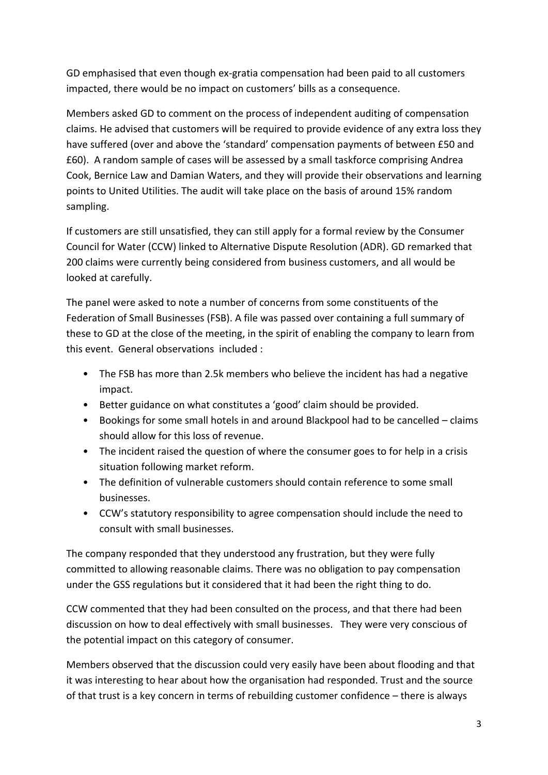GD emphasised that even though ex-gratia compensation had been paid to all customers impacted, there would be no impact on customers' bills as a consequence.

Members asked GD to comment on the process of independent auditing of compensation claims. He advised that customers will be required to provide evidence of any extra loss they have suffered (over and above the 'standard' compensation payments of between £50 and £60). A random sample of cases will be assessed by a small taskforce comprising Andrea Cook, Bernice Law and Damian Waters, and they will provide their observations and learning points to United Utilities. The audit will take place on the basis of around 15% random sampling.

If customers are still unsatisfied, they can still apply for a formal review by the Consumer Council for Water (CCW) linked to Alternative Dispute Resolution (ADR). GD remarked that 200 claims were currently being considered from business customers, and all would be looked at carefully.

The panel were asked to note a number of concerns from some constituents of the Federation of Small Businesses (FSB). A file was passed over containing a full summary of these to GD at the close of the meeting, in the spirit of enabling the company to learn from this event. General observations included :

- The FSB has more than 2.5k members who believe the incident has had a negative impact.
- Better guidance on what constitutes a 'good' claim should be provided.
- Bookings for some small hotels in and around Blackpool had to be cancelled claims should allow for this loss of revenue.
- The incident raised the question of where the consumer goes to for help in a crisis situation following market reform.
- The definition of vulnerable customers should contain reference to some small businesses.
- CCW's statutory responsibility to agree compensation should include the need to consult with small businesses.

The company responded that they understood any frustration, but they were fully committed to allowing reasonable claims. There was no obligation to pay compensation under the GSS regulations but it considered that it had been the right thing to do.

CCW commented that they had been consulted on the process, and that there had been discussion on how to deal effectively with small businesses. They were very conscious of the potential impact on this category of consumer.

Members observed that the discussion could very easily have been about flooding and that it was interesting to hear about how the organisation had responded. Trust and the source of that trust is a key concern in terms of rebuilding customer confidence – there is always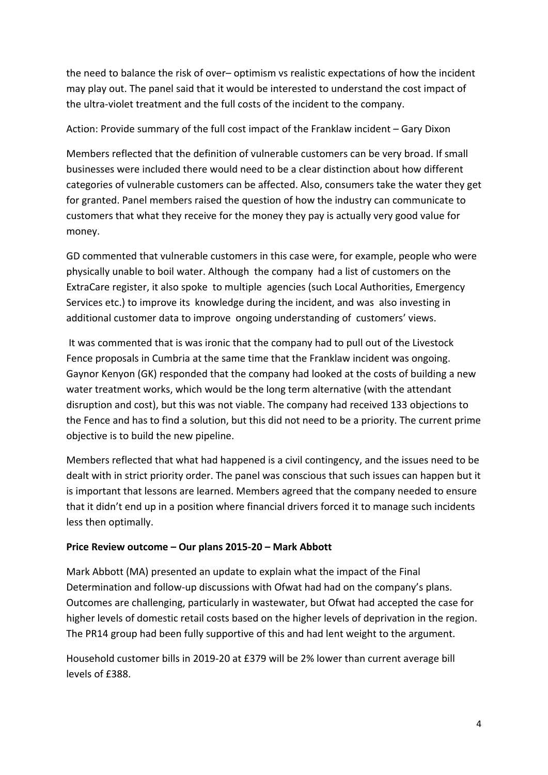the need to balance the risk of over– optimism vs realistic expectations of how the incident may play out. The panel said that it would be interested to understand the cost impact of the ultra-violet treatment and the full costs of the incident to the company.

# Action: Provide summary of the full cost impact of the Franklaw incident – Gary Dixon

Members reflected that the definition of vulnerable customers can be very broad. If small businesses were included there would need to be a clear distinction about how different categories of vulnerable customers can be affected. Also, consumers take the water they get for granted. Panel members raised the question of how the industry can communicate to customers that what they receive for the money they pay is actually very good value for money.

GD commented that vulnerable customers in this case were, for example, people who were physically unable to boil water. Although the company had a list of customers on the ExtraCare register, it also spoke to multiple agencies (such Local Authorities, Emergency Services etc.) to improve its knowledge during the incident, and was also investing in additional customer data to improve ongoing understanding of customers' views.

It was commented that is was ironic that the company had to pull out of the Livestock Fence proposals in Cumbria at the same time that the Franklaw incident was ongoing. Gaynor Kenyon (GK) responded that the company had looked at the costs of building a new water treatment works, which would be the long term alternative (with the attendant disruption and cost), but this was not viable. The company had received 133 objections to the Fence and has to find a solution, but this did not need to be a priority. The current prime objective is to build the new pipeline.

Members reflected that what had happened is a civil contingency, and the issues need to be dealt with in strict priority order. The panel was conscious that such issues can happen but it is important that lessons are learned. Members agreed that the company needed to ensure that it didn't end up in a position where financial drivers forced it to manage such incidents less then optimally.

### **Price Review outcome – Our plans 2015-20 – Mark Abbott**

Mark Abbott (MA) presented an update to explain what the impact of the Final Determination and follow-up discussions with Ofwat had had on the company's plans. Outcomes are challenging, particularly in wastewater, but Ofwat had accepted the case for higher levels of domestic retail costs based on the higher levels of deprivation in the region. The PR14 group had been fully supportive of this and had lent weight to the argument.

Household customer bills in 2019-20 at £379 will be 2% lower than current average bill levels of £388.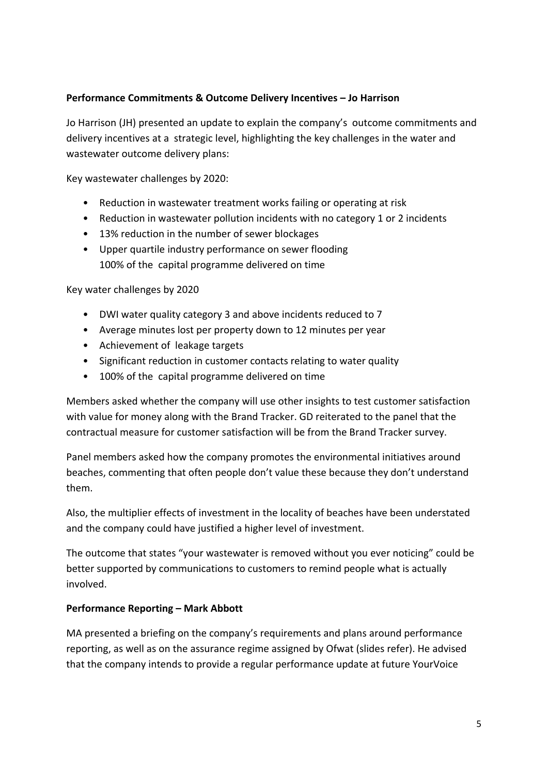### **Performance Commitments & Outcome Delivery Incentives – Jo Harrison**

Jo Harrison (JH) presented an update to explain the company's outcome commitments and delivery incentives at a strategic level, highlighting the key challenges in the water and wastewater outcome delivery plans:

Key wastewater challenges by 2020:

- Reduction in wastewater treatment works failing or operating at risk
- Reduction in wastewater pollution incidents with no category 1 or 2 incidents
- 13% reduction in the number of sewer blockages
- Upper quartile industry performance on sewer flooding 100% of the capital programme delivered on time

Key water challenges by 2020

- DWI water quality category 3 and above incidents reduced to 7
- Average minutes lost per property down to 12 minutes per year
- Achievement of leakage targets
- Significant reduction in customer contacts relating to water quality
- 100% of the capital programme delivered on time

Members asked whether the company will use other insights to test customer satisfaction with value for money along with the Brand Tracker. GD reiterated to the panel that the contractual measure for customer satisfaction will be from the Brand Tracker survey.

Panel members asked how the company promotes the environmental initiatives around beaches, commenting that often people don't value these because they don't understand them.

Also, the multiplier effects of investment in the locality of beaches have been understated and the company could have justified a higher level of investment.

The outcome that states "your wastewater is removed without you ever noticing" could be better supported by communications to customers to remind people what is actually involved.

#### **Performance Reporting – Mark Abbott**

MA presented a briefing on the company's requirements and plans around performance reporting, as well as on the assurance regime assigned by Ofwat (slides refer). He advised that the company intends to provide a regular performance update at future YourVoice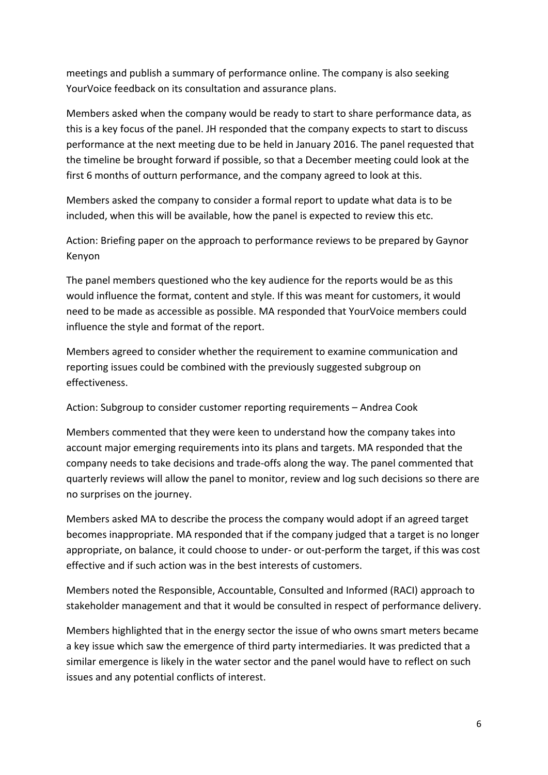meetings and publish a summary of performance online. The company is also seeking YourVoice feedback on its consultation and assurance plans.

Members asked when the company would be ready to start to share performance data, as this is a key focus of the panel. JH responded that the company expects to start to discuss performance at the next meeting due to be held in January 2016. The panel requested that the timeline be brought forward if possible, so that a December meeting could look at the first 6 months of outturn performance, and the company agreed to look at this.

Members asked the company to consider a formal report to update what data is to be included, when this will be available, how the panel is expected to review this etc.

Action: Briefing paper on the approach to performance reviews to be prepared by Gaynor Kenyon

The panel members questioned who the key audience for the reports would be as this would influence the format, content and style. If this was meant for customers, it would need to be made as accessible as possible. MA responded that YourVoice members could influence the style and format of the report.

Members agreed to consider whether the requirement to examine communication and reporting issues could be combined with the previously suggested subgroup on effectiveness.

Action: Subgroup to consider customer reporting requirements – Andrea Cook

Members commented that they were keen to understand how the company takes into account major emerging requirements into its plans and targets. MA responded that the company needs to take decisions and trade-offs along the way. The panel commented that quarterly reviews will allow the panel to monitor, review and log such decisions so there are no surprises on the journey.

Members asked MA to describe the process the company would adopt if an agreed target becomes inappropriate. MA responded that if the company judged that a target is no longer appropriate, on balance, it could choose to under- or out-perform the target, if this was cost effective and if such action was in the best interests of customers.

Members noted the Responsible, Accountable, Consulted and Informed (RACI) approach to stakeholder management and that it would be consulted in respect of performance delivery.

Members highlighted that in the energy sector the issue of who owns smart meters became a key issue which saw the emergence of third party intermediaries. It was predicted that a similar emergence is likely in the water sector and the panel would have to reflect on such issues and any potential conflicts of interest.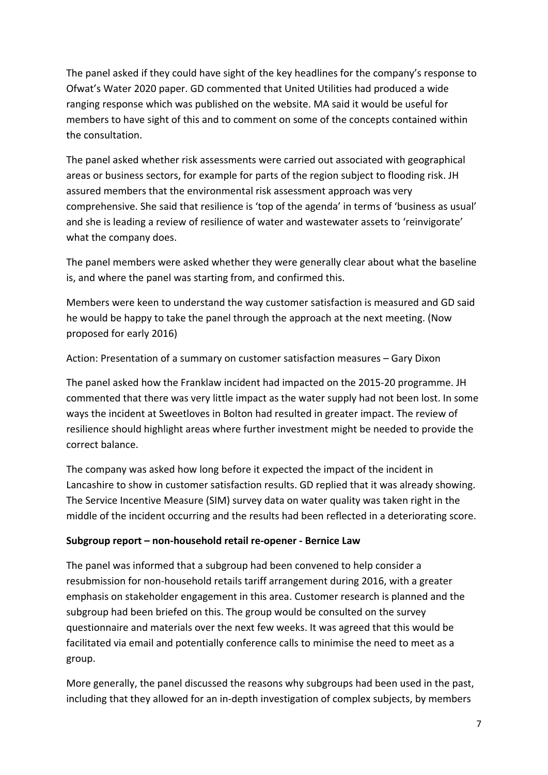The panel asked if they could have sight of the key headlines for the company's response to Ofwat's Water 2020 paper. GD commented that United Utilities had produced a wide ranging response which was published on the website. MA said it would be useful for members to have sight of this and to comment on some of the concepts contained within the consultation.

The panel asked whether risk assessments were carried out associated with geographical areas or business sectors, for example for parts of the region subject to flooding risk. JH assured members that the environmental risk assessment approach was very comprehensive. She said that resilience is 'top of the agenda' in terms of 'business as usual' and she is leading a review of resilience of water and wastewater assets to 'reinvigorate' what the company does.

The panel members were asked whether they were generally clear about what the baseline is, and where the panel was starting from, and confirmed this.

Members were keen to understand the way customer satisfaction is measured and GD said he would be happy to take the panel through the approach at the next meeting. (Now proposed for early 2016)

Action: Presentation of a summary on customer satisfaction measures – Gary Dixon

The panel asked how the Franklaw incident had impacted on the 2015-20 programme. JH commented that there was very little impact as the water supply had not been lost. In some ways the incident at Sweetloves in Bolton had resulted in greater impact. The review of resilience should highlight areas where further investment might be needed to provide the correct balance.

The company was asked how long before it expected the impact of the incident in Lancashire to show in customer satisfaction results. GD replied that it was already showing. The Service Incentive Measure (SIM) survey data on water quality was taken right in the middle of the incident occurring and the results had been reflected in a deteriorating score.

### **Subgroup report – non-household retail re-opener - Bernice Law**

The panel was informed that a subgroup had been convened to help consider a resubmission for non-household retails tariff arrangement during 2016, with a greater emphasis on stakeholder engagement in this area. Customer research is planned and the subgroup had been briefed on this. The group would be consulted on the survey questionnaire and materials over the next few weeks. It was agreed that this would be facilitated via email and potentially conference calls to minimise the need to meet as a group.

More generally, the panel discussed the reasons why subgroups had been used in the past, including that they allowed for an in-depth investigation of complex subjects, by members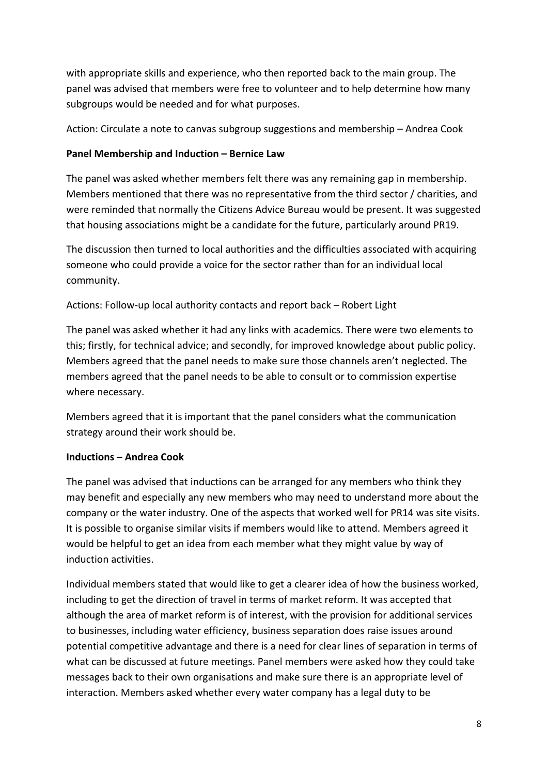with appropriate skills and experience, who then reported back to the main group. The panel was advised that members were free to volunteer and to help determine how many subgroups would be needed and for what purposes.

Action: Circulate a note to canvas subgroup suggestions and membership – Andrea Cook

# **Panel Membership and Induction – Bernice Law**

The panel was asked whether members felt there was any remaining gap in membership. Members mentioned that there was no representative from the third sector / charities, and were reminded that normally the Citizens Advice Bureau would be present. It was suggested that housing associations might be a candidate for the future, particularly around PR19.

The discussion then turned to local authorities and the difficulties associated with acquiring someone who could provide a voice for the sector rather than for an individual local community.

Actions: Follow-up local authority contacts and report back – Robert Light

The panel was asked whether it had any links with academics. There were two elements to this; firstly, for technical advice; and secondly, for improved knowledge about public policy. Members agreed that the panel needs to make sure those channels aren't neglected. The members agreed that the panel needs to be able to consult or to commission expertise where necessary.

Members agreed that it is important that the panel considers what the communication strategy around their work should be.

### **Inductions – Andrea Cook**

The panel was advised that inductions can be arranged for any members who think they may benefit and especially any new members who may need to understand more about the company or the water industry. One of the aspects that worked well for PR14 was site visits. It is possible to organise similar visits if members would like to attend. Members agreed it would be helpful to get an idea from each member what they might value by way of induction activities.

Individual members stated that would like to get a clearer idea of how the business worked, including to get the direction of travel in terms of market reform. It was accepted that although the area of market reform is of interest, with the provision for additional services to businesses, including water efficiency, business separation does raise issues around potential competitive advantage and there is a need for clear lines of separation in terms of what can be discussed at future meetings. Panel members were asked how they could take messages back to their own organisations and make sure there is an appropriate level of interaction. Members asked whether every water company has a legal duty to be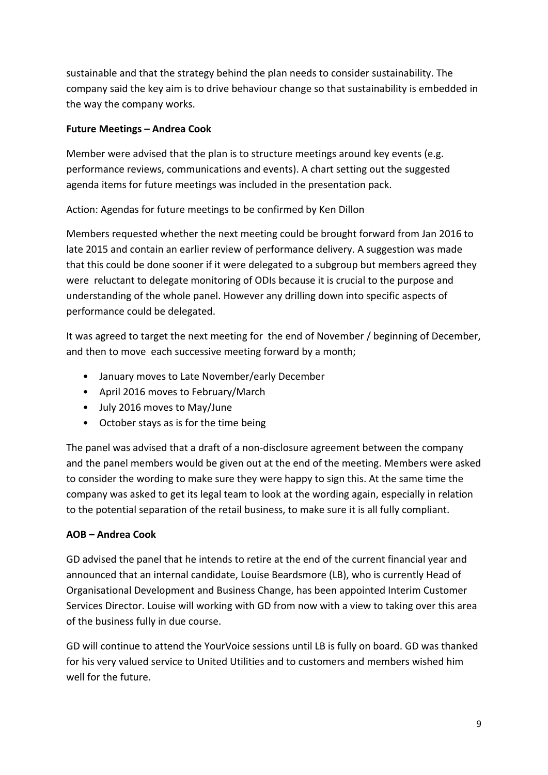sustainable and that the strategy behind the plan needs to consider sustainability. The company said the key aim is to drive behaviour change so that sustainability is embedded in the way the company works.

### **Future Meetings – Andrea Cook**

Member were advised that the plan is to structure meetings around key events (e.g. performance reviews, communications and events). A chart setting out the suggested agenda items for future meetings was included in the presentation pack.

Action: Agendas for future meetings to be confirmed by Ken Dillon

Members requested whether the next meeting could be brought forward from Jan 2016 to late 2015 and contain an earlier review of performance delivery. A suggestion was made that this could be done sooner if it were delegated to a subgroup but members agreed they were reluctant to delegate monitoring of ODIs because it is crucial to the purpose and understanding of the whole panel. However any drilling down into specific aspects of performance could be delegated.

It was agreed to target the next meeting for the end of November / beginning of December, and then to move each successive meeting forward by a month;

- January moves to Late November/early December
- April 2016 moves to February/March
- July 2016 moves to May/June
- October stays as is for the time being

The panel was advised that a draft of a non-disclosure agreement between the company and the panel members would be given out at the end of the meeting. Members were asked to consider the wording to make sure they were happy to sign this. At the same time the company was asked to get its legal team to look at the wording again, especially in relation to the potential separation of the retail business, to make sure it is all fully compliant.

# **AOB – Andrea Cook**

GD advised the panel that he intends to retire at the end of the current financial year and announced that an internal candidate, Louise Beardsmore (LB), who is currently Head of Organisational Development and Business Change, has been appointed Interim Customer Services Director. Louise will working with GD from now with a view to taking over this area of the business fully in due course.

GD will continue to attend the YourVoice sessions until LB is fully on board. GD was thanked for his very valued service to United Utilities and to customers and members wished him well for the future.